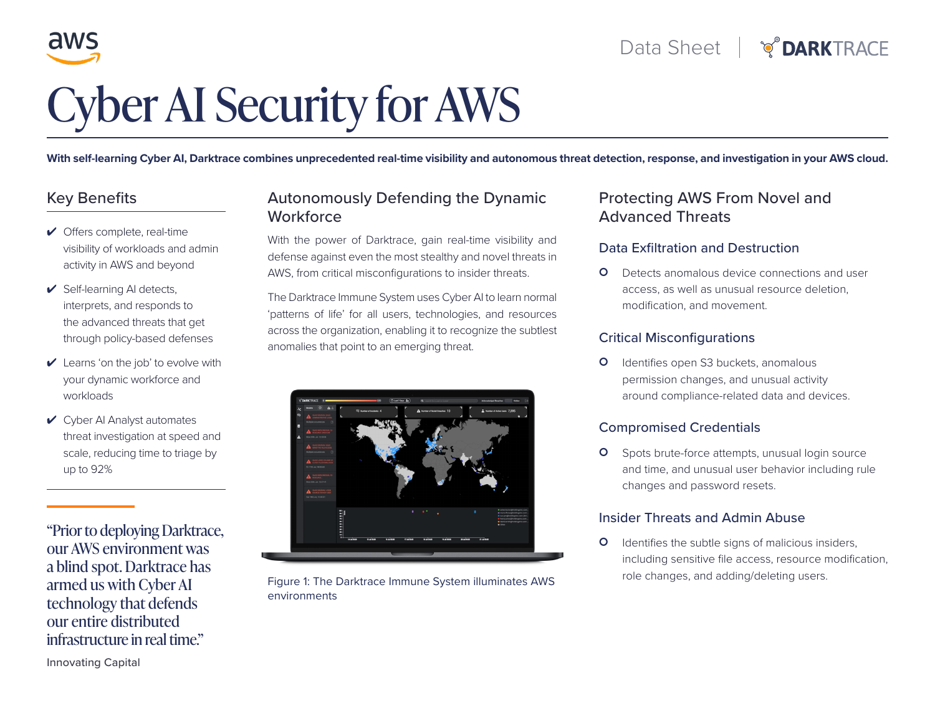

# Cyber AI Security for AWS

**With self-learning Cyber AI, Darktrace combines unprecedented real-time visibility and autonomous threat detection, response, and investigation in your AWS cloud.**

# Key Benefits

- ✔ Offers complete, real-time visibility of workloads and admin activity in AWS and beyond
- ✔ Self-learning AI detects, interprets, and responds to the advanced threats that get through policy-based defenses
- $\vee$  Learns 'on the job' to evolve with your dynamic workforce and workloads
- ✔ Cyber AI Analyst automates threat investigation at speed and scale, reducing time to triage by up to 92%

"Prior to deploying Darktrace, our AWS environment was a blind spot. Darktrace has armed us with Cyber AI technology that defends our entire distributed infrastructure in real time."

# Autonomously Defending the Dynamic **Workforce**

With the power of Darktrace, gain real-time visibility and defense against even the most stealthy and novel threats in AWS, from critical misconfigurations to insider threats.

The Darktrace Immune System uses Cyber AI to learn normal 'patterns of life' for all users, technologies, and resources across the organization, enabling it to recognize the subtlest anomalies that point to an emerging threat.



Figure 1: The Darktrace Immune System illuminates AWS environments

# Protecting AWS From Novel and Advanced Threats

### Data Exfiltration and Destruction

**O** Detects anomalous device connections and user access, as well as unusual resource deletion, modification, and movement.

### Critical Misconfigurations

**O** Identifies open S3 buckets, anomalous permission changes, and unusual activity around compliance-related data and devices.

### Compromised Credentials

**O** Spots brute-force attempts, unusual login source and time, and unusual user behavior including rule changes and password resets.

### Insider Threats and Admin Abuse

**O** Identifies the subtle signs of malicious insiders, including sensitive file access, resource modification, role changes, and adding/deleting users.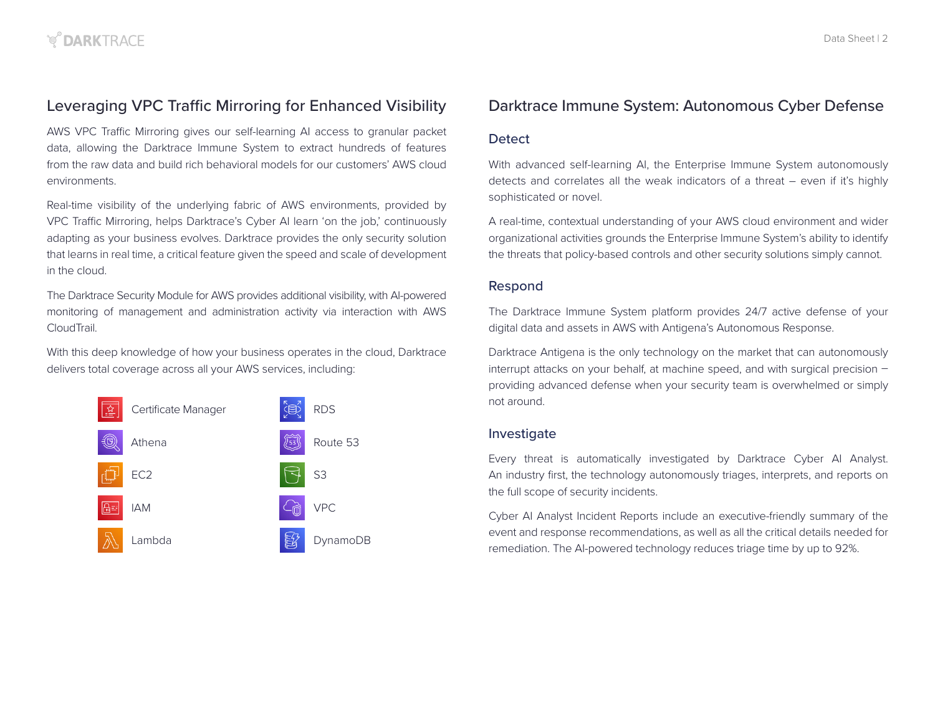# Leveraging VPC Traffic Mirroring for Enhanced Visibility

AWS VPC Traffic Mirroring gives our self-learning AI access to granular packet data, allowing the Darktrace Immune System to extract hundreds of features from the raw data and build rich behavioral models for our customers' AWS cloud environments.

Real-time visibility of the underlying fabric of AWS environments, provided by VPC Traffic Mirroring, helps Darktrace's Cyber AI learn 'on the job,' continuously adapting as your business evolves. Darktrace provides the only security solution that learns in real time, a critical feature given the speed and scale of development in the cloud.

The Darktrace Security Module for AWS provides additional visibility, with AI-powered monitoring of management and administration activity via interaction with AWS CloudTrail.

With this deep knowledge of how your business operates in the cloud, Darktrace delivers total coverage across all your AWS services, including:



# Darktrace Immune System: Autonomous Cyber Defense

### **Detect**

With advanced self-learning AI, the Enterprise Immune System autonomously detects and correlates all the weak indicators of a threat – even if it's highly sophisticated or novel.

A real-time, contextual understanding of your AWS cloud environment and wider organizational activities grounds the Enterprise Immune System's ability to identify the threats that policy-based controls and other security solutions simply cannot.

### Respond

The Darktrace Immune System platform provides 24/7 active defense of your digital data and assets in AWS with Antigena's Autonomous Response.

Darktrace Antigena is the only technology on the market that can autonomously interrupt attacks on your behalf, at machine speed, and with surgical precision – providing advanced defense when your security team is overwhelmed or simply not around.

### Investigate

Every threat is automatically investigated by Darktrace Cyber AI Analyst. An industry first, the technology autonomously triages, interprets, and reports on the full scope of security incidents.

Cyber AI Analyst Incident Reports include an executive-friendly summary of the event and response recommendations, as well as all the critical details needed for remediation. The AI-powered technology reduces triage time by up to 92%.